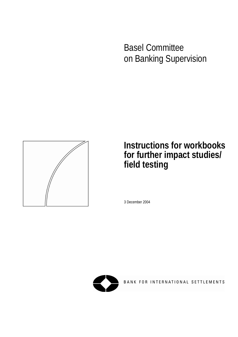Basel Committee on Banking Supervision



# **Instructions for workbooks for further impact studies/ field testing**

3 December 2004



BANK FOR INTERNATIONAL SETTLEMENTS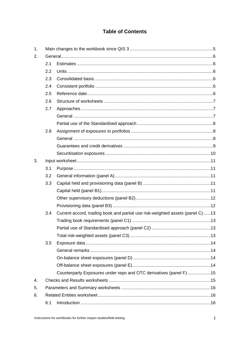## **Table of Contents**

| 1. |     |                                                                               |  |
|----|-----|-------------------------------------------------------------------------------|--|
| 2. |     |                                                                               |  |
|    | 2.1 |                                                                               |  |
|    | 2.2 |                                                                               |  |
|    | 2.3 |                                                                               |  |
|    | 2.4 |                                                                               |  |
|    | 2.5 |                                                                               |  |
|    | 2.6 |                                                                               |  |
|    | 2.7 |                                                                               |  |
|    |     |                                                                               |  |
|    |     |                                                                               |  |
|    | 2.8 |                                                                               |  |
|    |     |                                                                               |  |
|    |     |                                                                               |  |
|    |     |                                                                               |  |
| 3. |     |                                                                               |  |
|    | 3.1 |                                                                               |  |
|    | 3.2 |                                                                               |  |
|    | 3.3 |                                                                               |  |
|    |     |                                                                               |  |
|    |     |                                                                               |  |
|    |     |                                                                               |  |
|    | 3.4 | Current accord, trading book and partial use risk-weighted assets (panel C)13 |  |
|    |     |                                                                               |  |
|    |     |                                                                               |  |
|    |     |                                                                               |  |
|    | 3.5 |                                                                               |  |
|    |     |                                                                               |  |
|    |     |                                                                               |  |
|    |     |                                                                               |  |
|    |     | Counterparty Exposures under repo and OTC derivatives (panel F)15             |  |
| 4. |     |                                                                               |  |
| 5. |     |                                                                               |  |
| 6. |     |                                                                               |  |
|    | 6.1 |                                                                               |  |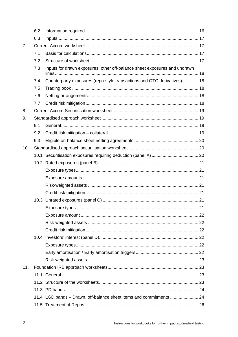|                | 6.2 |                                                                           |  |
|----------------|-----|---------------------------------------------------------------------------|--|
|                | 6.3 |                                                                           |  |
| 7 <sub>1</sub> |     |                                                                           |  |
|                | 7.1 |                                                                           |  |
|                | 7.2 |                                                                           |  |
|                | 7.3 | Inputs for drawn exposures, other off-balance sheet exposures and undrawn |  |
|                | 7.4 | Counterparty exposures (repo-style transactions and OTC derivatives) 18   |  |
|                | 7.5 |                                                                           |  |
|                | 7.6 |                                                                           |  |
|                | 7.7 |                                                                           |  |
| 8.             |     |                                                                           |  |
| 9.             |     |                                                                           |  |
|                | 9.1 |                                                                           |  |
|                | 9.2 |                                                                           |  |
|                | 9.3 |                                                                           |  |
| 10.            |     |                                                                           |  |
|                |     |                                                                           |  |
|                |     |                                                                           |  |
|                |     |                                                                           |  |
|                |     |                                                                           |  |
|                |     |                                                                           |  |
|                |     |                                                                           |  |
|                |     |                                                                           |  |
|                |     |                                                                           |  |
|                |     |                                                                           |  |
|                |     |                                                                           |  |
|                |     |                                                                           |  |
|                |     |                                                                           |  |
|                |     |                                                                           |  |
|                |     |                                                                           |  |
|                |     |                                                                           |  |
| 11.            |     |                                                                           |  |
|                |     |                                                                           |  |
|                |     |                                                                           |  |
|                |     |                                                                           |  |
|                |     | 11.4 LGD bands - Drawn, off-balance sheet items and commitments  24       |  |
|                |     |                                                                           |  |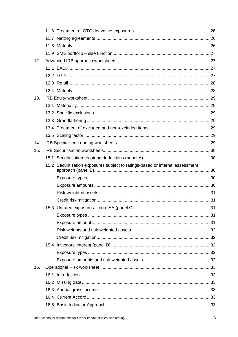| 12. |  |                                                                               |  |
|-----|--|-------------------------------------------------------------------------------|--|
|     |  |                                                                               |  |
|     |  |                                                                               |  |
|     |  |                                                                               |  |
|     |  |                                                                               |  |
| 13. |  |                                                                               |  |
|     |  |                                                                               |  |
|     |  |                                                                               |  |
|     |  |                                                                               |  |
|     |  |                                                                               |  |
|     |  |                                                                               |  |
| 14. |  |                                                                               |  |
| 15. |  |                                                                               |  |
|     |  |                                                                               |  |
|     |  | 15.2 Securitisation exposures subject to ratings-based or internal assessment |  |
|     |  |                                                                               |  |
|     |  |                                                                               |  |
|     |  |                                                                               |  |
|     |  |                                                                               |  |
|     |  |                                                                               |  |
|     |  |                                                                               |  |
|     |  |                                                                               |  |
|     |  |                                                                               |  |
|     |  |                                                                               |  |
|     |  |                                                                               |  |
|     |  |                                                                               |  |
|     |  |                                                                               |  |
| 16. |  |                                                                               |  |
|     |  |                                                                               |  |
|     |  |                                                                               |  |
|     |  |                                                                               |  |
|     |  |                                                                               |  |
|     |  |                                                                               |  |
|     |  |                                                                               |  |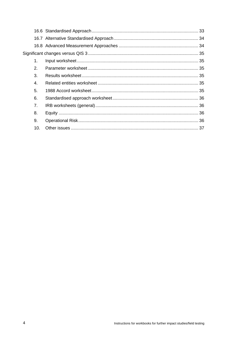| 1.  |  |
|-----|--|
| 2.  |  |
| 3.  |  |
| 4.  |  |
| 5.  |  |
| 6.  |  |
| 7.  |  |
| 8.  |  |
| 9.  |  |
| 10. |  |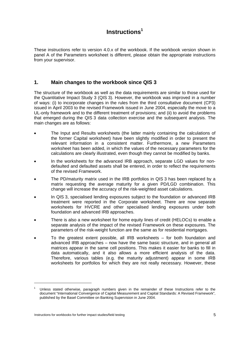# **Instructions1**

These instructions refer to version 4.0.x of the workbook. If the workbook version shown in panel A of the Parameters worksheet is different, please obtain the appropriate instructions from your supervisor.

### **1. Main changes to the workbook since QIS 3**

The structure of the workbook as well as the data requirements are similar to those used for the Quantitative Impact Study 3 (QIS 3). However, the workbook was improved in a number of ways: (i) to incorporate changes in the rules from the third consultative document (CP3) issued in April 2003 to the revised Framework issued in June 2004, especially the move to a UL-only framework and to the different treatment of provisions; and (ii) to avoid the problems that emerged during the QIS 3 data collection exercise and the subsequent analysis. The main changes are as follows:

- The Input and Results worksheets (the latter mainly containing the calculations of the former Capital worksheet) have been slightly modified in order to present the relevant information in a consistent matter. Furthermore, a new Parameters worksheet has been added, in which the values of the necessary parameters for the calculations are clearly illustrated, even though they cannot be modified by banks.
- In the worksheets for the advanced IRB approach, separate LGD values for nondefaulted and defaulted assets shall be entered, in order to reflect the requirements of the revised Framework.
- The PD/maturity matrix used in the IRB portfolios in QIS 3 has been replaced by a matrix requesting the average maturity for a given PD/LGD combination. This change will increase the accuracy of the risk-weighted asset calculations.
- In QIS 3, specialised lending exposures subject to the foundation or advanced IRB treatment were reported in the Corporate worksheet. There are now separate worksheets for HVCRE and other specialised lending exposures under both foundation and advanced IRB approaches.
- There is also a new worksheet for home equity lines of credit (HELOCs) to enable a separate analysis of the impact of the revised Framework on these exposures. The parameters of the risk-weight function are the same as for residential mortgages.
- To the greatest extent possible, all IRB worksheets for both foundation and advanced IRB approaches – now have the same basic structure, and in general all matrices appear in the same cell positions. This makes it easier for banks to fill in data automatically, and it also allows a more efficient analysis of the data. Therefore, various tables (e.g. the maturity adjustment) appear in some IRB worksheets for portfolios for which they are not really necessary. However, these

<sup>1</sup> Unless stated otherwise, paragraph numbers given in the remainder of these Instructions refer to the document "International Convergence of Capital Measurement and Capital Standards: A Revised Framework", published by the Basel Committee on Banking Supervision in June 2004.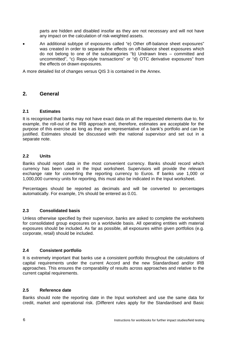parts are hidden and disabled insofar as they are not necessary and will not have any impact on the calculation of risk-weighted assets.

• An additional subtype of exposures called "e) Other off-balance sheet exposures" was created in order to separate the effects on off-balance sheet exposures which do not belong to one of the subcategories "b) Undrawn lines – committed and uncommitted", "c) Repo-style transactions" or "d) OTC derivative exposures" from the effects on drawn exposures.

A more detailed list of changes versus QIS 3 is contained in the Annex.

### **2. General**

### **2.1 Estimates**

It is recognised that banks may not have exact data on all the requested elements due to, for example, the roll-out of the IRB approach and, therefore, estimates are acceptable for the purpose of this exercise as long as they are representative of a bank's portfolio and can be justified. Estimates should be discussed with the national supervisor and set out in a separate note.

#### **2.2 Units**

Banks should report data in the most convenient currency. Banks should record which currency has been used in the Input worksheet. Supervisors will provide the relevant exchange rate for converting the reporting currency to Euros. If banks use 1,000 or 1,000,000 currency units for reporting, this must also be indicated in the Input worksheet.

Percentages should be reported as decimals and will be converted to percentages automatically. For example, 1% should be entered as 0.01.

### **2.3 Consolidated basis**

Unless otherwise specified by their supervisor, banks are asked to complete the worksheets for consolidated group exposures on a worldwide basis. All operating entities with material exposures should be included. As far as possible, all exposures within given portfolios (e.g. corporate, retail) should be included.

### **2.4 Consistent portfolio**

It is extremely important that banks use a consistent portfolio throughout the calculations of capital requirements under the current Accord and the new Standardised and/or IRB approaches. This ensures the comparability of results across approaches and relative to the current capital requirements.

### **2.5 Reference date**

Banks should note the reporting date in the Input worksheet and use the same data for credit, market and operational risk. (Different rules apply for the Standardised and Basic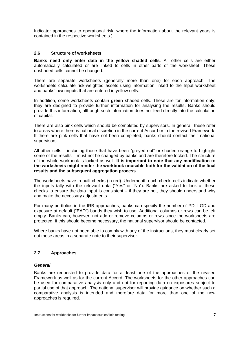Indicator approaches to operational risk, where the information about the relevant years is contained in the respective worksheets.)

#### **2.6 Structure of worksheets**

**Banks need only enter data in the yellow shaded cells**. All other cells are either automatically calculated or are linked to cells in other parts of the worksheet. These unshaded cells cannot be changed.

There are separate worksheets (generally more than one) for each approach. The worksheets calculate risk-weighted assets using information linked to the Input worksheet and banks' own inputs that are entered in yellow cells.

In addition, some worksheets contain **green** shaded cells. These are for information only; they are designed to provide further information for analysing the results. Banks should provide this information, although such information does not feed directly into the calculation of capital.

There are also pink cells which should be completed by supervisors. In general, these refer to areas where there is national discretion in the current Accord or in the revised Framework. If there are pink cells that have not been completed, banks should contact their national supervisors.

All other cells – including those that have been "greyed out" or shaded orange to highlight some of the results – must not be changed by banks and are therefore locked. The structure of the whole workbook is locked as well. **It is important to note that any modification to the worksheets might render the workbook unusable both for the validation of the final results and the subsequent aggregation process.**

The worksheets have in-built checks (in red). Underneath each check, cells indicate whether the inputs tally with the relevant data ("Yes" or "No"). Banks are asked to look at these checks to ensure the data input is consistent  $-$  if they are not, they should understand why and make the necessary adjustments.

For many portfolios in the IRB approaches, banks can specify the number of PD, LGD and exposure at default ("EAD") bands they wish to use. Additional columns or rows can be left empty. Banks can, however, not add or remove columns or rows since the worksheets are protected. If this should become necessary, the national supervisor should be contacted.

Where banks have not been able to comply with any of the instructions, they must clearly set out these areas in a separate note to their supervisor.

### **2.7 Approaches**

#### *General*

Banks are requested to provide data for at least one of the approaches of the revised Framework as well as for the current Accord. The worksheets for the other approaches can be used for comparative analysis only and not for reporting data on exposures subject to partial use of that approach. The national supervisor will provide guidance on whether such a comparative analysis is intended and therefore data for more than one of the new approaches is required.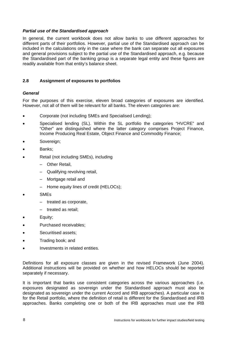#### *Partial use of the Standardised approach*

In general, the current workbook does not allow banks to use different approaches for different parts of their portfolios. However, partial use of the Standardised approach can be included in the calculations only in the case where the bank can separate out all exposures and general provisions subject to the partial use of the Standardised approach, e.g. because the Standardised part of the banking group is a separate legal entity and these figures are readily available from that entity's balance sheet.

### **2.8 Assignment of exposures to portfolios**

### *General*

For the purposes of this exercise, eleven broad categories of exposures are identified. However, not all of them will be relevant for all banks. The eleven categories are:

- Corporate (not including SMEs and Specialised Lending);
- Specialised lending (SL). Within the SL portfolio the categories "HVCRE" and "Other" are distinguished where the latter category comprises Project Finance, Income Producing Real Estate, Object Finance and Commodity Finance;
- Sovereign:
- Banks;
- Retail (not including SMEs), including
	- Other Retail,
	- Qualifying revolving retail,
	- Mortgage retail and
	- Home equity lines of credit (HELOCs);
- SMEs
	- treated as corporate,
	- treated as retail;
- Equity;
- Purchased receivables;
- Securitised assets:
- Trading book; and
- Investments in related entities.

Definitions for all exposure classes are given in the revised Framework (June 2004). Additional instructions will be provided on whether and how HELOCs should be reported separately if necessary.

It is important that banks use consistent categories across the various approaches (i.e. exposures designated as sovereign under the Standardised approach must also be designated as sovereign under the current Accord and IRB approaches). A particular case is for the Retail portfolio, where the definition of retail is different for the Standardised and IRB approaches. Banks completing one or both of the IRB approaches must use the IRB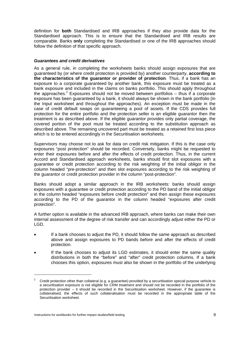definition for **both** Standardised and IRB approaches if they also provide data for the Standardised approach. This is to ensure that the Standardised and IRB results are comparable. Banks **only** completing the Standardised or one of the IRB approaches should follow the definition of that specific approach.

#### *Guarantees and credit derivatives*

As a general rule, in completing the worksheets banks should assign exposures that are guaranteed by (or where credit protection is provided by) another counterparty, **according to the characteristics of the guarantor or provider of protection**. Thus, if a bank has an exposure to a corporate guaranteed by another bank, this exposure must be treated as a bank exposure and included in the claims on banks portfolio. This should apply throughout the approaches.<sup>2</sup> Exposures should not be moved between portfolios  $-$  thus if a corporate exposure has been guaranteed by a bank, it should always be shown in the bank portfolio (in the Input worksheet and throughout the approaches). An exception must be made in the case of credit default swaps on guaranteeing a pool of assets. If the CDS provides full protection for the entire portfolio and the protection seller is an eligible guarantor then the treatment is as described above. If the eligible guarantor provides only partial coverage, the covered portion of the pool must be treated according to the substitution approach as described above. The remaining uncovered part must be treated as a retained first loss piece which is to be entered accordingly in the Securitisation worksheets.

Supervisors may choose not to ask for data on credit risk mitigation. If this is the case only exposures "post protection" should be recorded. Conversely, banks might be requested to enter their exposures before and after the effects of credit protection. Thus, in the current Accord and Standardised approach worksheets, banks should first slot exposures with a guarantee or credit protection according to the risk weighting of the initial obligor in the column headed "pre-protection" and then slot exposures according to the risk weighting of the guarantor or credit protection provider in the column "post-protection".

Banks should adopt a similar approach in the IRB worksheets: banks should assign exposures with a guarantee or credit protection according to the PD band of the initial obligor in the column headed "exposures before credit protection" and then assign these exposures according to the PD of the guarantor in the column headed "exposures after credit protection".

A further option is available in the advanced IRB approach, where banks can make their own internal assessment of the degree of risk transfer and can accordingly adjust either the PD or LGD.

- If a bank chooses to adjust the PD, it should follow the same approach as described above and assign exposures to PD bands before and after the effects of credit protection.
- If the bank chooses to adjust its LGD estimates, it should enter the same quality distributions in both the "before" and "after" credit protection columns. If a bank chooses this option, exposures must also be shown in the portfolio of the underlying

 $\overline{a}$ 

<sup>2</sup> Credit protection other than collateral (e.g. a guarantee) provided by a securitisation special purpose vehicle to a securitisation exposure is not eligible for CRM treatment and should not be recorded in the portfolio of the protection provider – it should be recorded in the Securitisation worksheet. However, if the guarantee is collateralised, the effects of such collateralisation must be recorded in the appropriate table of the Securitisation worksheet.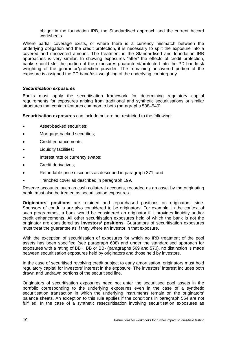obligor in the foundation IRB, the Standardised approach and the current Accord worksheets.

Where partial coverage exists, or where there is a currency mismatch between the underlying obligation and the credit protection, it is necessary to split the exposure into a covered and uncovered amount. The treatment in the Standardised and foundation IRB approaches is very similar. In showing exposures "after" the effects of credit protection, banks should slot the portion of the exposures guaranteed/protected into the PD band/risk weighting of the guarantor/protection provider. The remaining uncovered portion of the exposure is assigned the PD band/risk weighting of the underlying counterparty.

### *Securitisation exposures*

Banks must apply the securitisation framework for determining regulatory capital requirements for exposures arising from traditional and synthetic securitisations or similar structures that contain features common to both (paragraphs 538–540).

**Securitisation exposures** can include but are not restricted to the following:

- Asset-backed securities;
- Mortgage-backed securities:
- Credit enhancements;
- Liquidity facilities;
- Interest rate or currency swaps;
- Credit derivatives;
- Refundable price discounts as described in paragraph 371; and
- Tranched cover as described in paragraph 199.

Reserve accounts, such as cash collateral accounts, recorded as an asset by the originating bank, must also be treated as securitisation exposures.

**Originators' positions** are retained and repurchased positions on originators' side. Sponsors of conduits are also considered to be originators. For example, in the context of such programmes, a bank would be considered an originator if it provides liquidity and/or credit enhancements. All other securitisation exposures held of which the bank is not the originator are considered as **investors' positions**. Guarantors of securitisation exposures must treat the guarantee as if they where an investor in that exposure.

With the exception of securitisation of exposures for which no IRB treatment of the pool assets has been specified (see paragraph 608) and under the standardised approach for exposures with a rating of BB+, BB or BB- (paragraphs 569 and 570), no distinction is made between securitisation exposures held by originators and those held by investors.

In the case of securitised revolving credit subject to early amortisation, originators must hold regulatory capital for investors' interest in the exposure. The investors' interest includes both drawn and undrawn portions of the securitised line.

Originators of securitisation exposures need not enter the securitised pool assets in the portfolio corresponding to the underlying exposures even in the case of a synthetic securitisation transaction in which the underlying instruments remain on the originators' balance sheets. An exception to this rule applies if the conditions in paragraph 554 are not fulfilled. In the case of a synthetic resecuritisation involving securitisation exposures as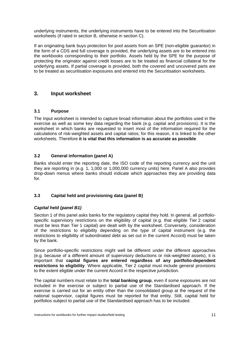underlying instruments, the underlying instruments have to be entered into the Securitisation worksheets (if rated in section B, otherwise in section C).

If an originating bank buys protection for pool assets from an SPE (non-eligible guarantor) in the form of a CDS and full coverage is provided, the underlying assets are to be entered into the workbooks corresponding to their portfolio. Assets held by the SPE for the purpose of protecting the originator against credit losses are to be treated as financial collateral for the underlying assets. If partial coverage is provided, both the covered and uncovered parts are to be treated as securitisation exposures and entered into the Securitisation worksheets.

### **3. Input worksheet**

### **3.1 Purpose**

The Input worksheet is intended to capture broad information about the portfolios used in the exercise as well as some key data regarding the bank (e.g. capital and provisions). It is the worksheet in which banks are requested to insert most of the information required for the calculations of risk-weighted assets and capital ratios; for this reason, it is linked to the other worksheets. Therefore **it is vital that this information is as accurate as possible**.

### **3.2 General information (panel A)**

Banks should enter the reporting date, the ISO code of the reporting currency and the unit they are reporting in (e.g. 1, 1,000 or 1,000,000 currency units) here. Panel A also provides drop-down menus where banks should indicate which approaches they are providing data for.

### **3.3 Capital held and provisioning data (panel B)**

### *Capital held (panel B1)*

Section 1 of this panel asks banks for the regulatory capital they hold. In general, all portfoliospecific supervisory restrictions on the eligibility of capital (e.g. that eligible Tier 2 capital must be less than Tier 1 capital) are dealt with by the worksheet. Conversely, consideration of the restrictions to eligibility depending on the type of capital instrument (e.g. the restrictions to eligibility of subordinated debt as set out in the current Accord) must be taken by the bank.

Since portfolio-specific restrictions might well be different under the different approaches (e.g. because of a different amount of supervisory deductions or risk-weighted assets), it is important that **capital figures are entered regardless of any portfolio-dependent restrictions to eligibility**. Where applicable, Tier 2 capital must include general provisions to the extent eligible under the current Accord in the respective jurisdiction.

The capital numbers must relate to the **total banking group**, even if some exposures are not included in the exercise or subject to partial use of the Standardised approach. If the exercise is carried out for an entity other than the consolidated group at the request of the national supervisor, capital figures must be reported for that entity. Still, capital held for portfolios subject to partial use of the Standardised approach has to be included.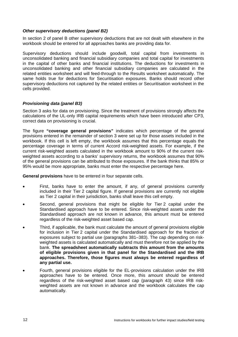#### *Other supervisory deductions (panel B2)*

In section 2 of panel B other supervisory deductions that are not dealt with elsewhere in the workbook should be entered for all approaches banks are providing data for.

Supervisory deductions should include goodwill, total capital from investments in unconsolidated banking and financial subsidiary companies and total capital for investments in the capital of other banks and financial institutions. The deductions for investments in unconsolidated banking and other financial subsidiary companies are calculated in the related entities worksheet and will feed-through to the Results worksheet automatically. The same holds true for deductions for Securitisation exposures. Banks should record other supervisory deductions not captured by the related entities or Securitisation worksheet in the cells provided.

#### *Provisioning data (panel B3)*

Section 3 asks for data on provisioning. Since the treatment of provisions strongly affects the calculations of the UL-only IRB capital requirements which have been introduced after CP3, correct data on provisioning is crucial.

The figure **"coverage general provisions"** indicates which percentage of the general provisions entered in the remainder of section 3 were set up for those assets included in the workbook. If this cell is left empty, the workbook assumes that this percentage equals the percentage coverage in terms of current Accord risk-weighted assets. For example, if the current risk-weighted assets calculated in the workbook amount to 90% of the current riskweighted assets according to a banks' supervisory returns, the workbook assumes that 90% of the general provisions can be attributed to those exposures. If the bank thinks that 85% or 95% would be more appropriate, banks must enter the respective percentage here.

**General provisions** have to be entered in four separate cells.

- First, banks have to enter the amount, if any, of general provisions currently included in their Tier 2 capital figure. If general provisions are currently not eligible as Tier 2 capital in their jurisdiction, banks shall leave this cell empty.
- Second, general provisions that might be eligible for Tier 2 capital under the Standardised approach have to be entered. Since risk-weighted assets under the Standardised approach are not known in advance, this amount must be entered regardless of the risk-weighted asset based cap.
- Third, if applicable, the bank must calculate the amount of general provisions eligible for inclusion in Tier 2 capital under the Standardised approach for the fraction of exposures subject to partial use (paragraphs 381–383). The cap depending on riskweighted assets is calculated automatically and must therefore not be applied by the bank. **The spreadsheet automatically subtracts this amount from the amounts of eligible provisions given in that panel for the Standardised and the IRB approaches. Therefore, those figures must always be entered regardless of any partial use.**
- Fourth, general provisions eligible for the EL-provisions calculation under the IRB approaches have to be entered. Once more, this amount should be entered regardless of the risk-weighted asset based cap (paragraph 43) since IRB riskweighted assets are not known in advance and the workbook calculates the cap automatically.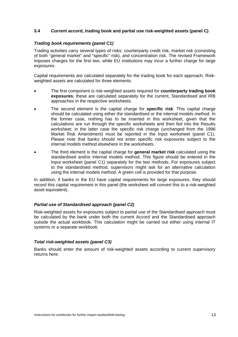### **3.4 Current accord, trading book and partial use risk-weighted assets (panel C)**

#### *Trading book requirements (panel C1)*

Trading activities carry several types of risks: counterparty credit risk, market risk (consisting of both "general market" and "specific" risk), and concentration risk. The revised Framework imposes charges for the first two, while EU institutions may incur a further charge for large exposures.

Capital requirements are calculated separately for the trading book for each approach. Riskweighted assets are calculated for three elements.

- The first component is risk-weighted assets required for **counterparty trading book exposures**; these are calculated separately for the current, Standardised and IRB approaches in the respective worksheets.
- The second element is the capital charge for **specific risk**. This capital charge should be calculated using either the standardised or the internal models method. In the former case, nothing has to be inserted in this worksheet, given that the calculations are run through the specific worksheets and then fed into the Results worksheet; in the latter case the specific risk charge (unchanged from the 1996 Market Risk Amendment) must be reported in the Input worksheet (panel C1). Please note that banks should not enter specific risk exposures subject to the internal models method elsewhere in the worksheets.
- The third element is the capital charge for **general market risk** calculated using the standardised and/or internal models method. This figure should be entered in the Input worksheet (panel C1) separately for the two methods. For exposures subject to the standardised method, supervisors might ask for an alternative calculation using the internal models method. A green cell is provided for that purpose.

In addition, if banks in the EU have capital requirements for large exposures, they should record this capital requirement in this panel (the worksheet will convert this to a risk-weighted asset equivalent).

### *Partial use of Standardised approach (panel C2)*

Risk-weighted assets for exposures subject to partial use of the Standardised approach must be calculated by the bank under both the current Accord and the Standardised approach outside the actual workbook. This calculation might be carried out either using internal IT systems or a separate workbook.

### *Total risk-weighted assets (panel C3)*

Banks should enter the amount of risk-weighted assets according to current supervisory returns here.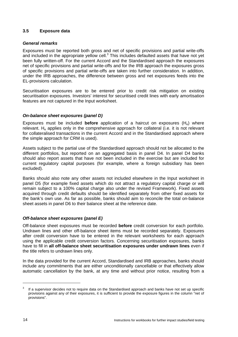### **3.5 Exposure data**

### *General remarks*

Exposures must be reported both gross and net of specific provisions and partial write-offs and included in the appropriate yellow cell. $3$  This includes defaulted assets that have not yet been fully written-off. For the current Accord and the Standardised approach the exposures net of specific provisions and partial write-offs and for the IRB approach the exposures gross of specific provisions and partial write-offs are taken into further consideration. In addition, under the IRB approaches, the difference between gross and net exposures feeds into the EL-provisions calculation.

Securitisation exposures are to be entered prior to credit risk mitigation on existing securitisation exposures. Investors' interest for securitised credit lines with early amortisation features are not captured in the Input worksheet.

### *On-balance sheet exposures (panel D)*

Exposures must be included **before** application of a haircut on exposures (He) where relevant. He applies only in the comprehensive approach for collateral (i.e. it is not relevant for collateralised transactions in the current Accord and in the Standardised approach where the simple approach for CRM is used).

Assets subject to the partial use of the Standardised approach should not be allocated to the different portfolios, but reported on an aggregated basis in panel D4. In panel D4 banks should also report assets that have not been included in the exercise but are included for current regulatory capital purposes (for example, where a foreign subsidiary has been excluded).

Banks should also note any other assets not included elsewhere in the Input worksheet in panel D5 (for example fixed assets which do not attract a regulatory capital charge or will remain subject to a 100% capital charge also under the revised Framework). Fixed assets acquired through credit defaults should be identified separately from other fixed assets for the bank's own use. As far as possible, banks should aim to reconcile the total on-balance sheet assets in panel D6 to their balance sheet at the reference date.

### *Off-balance sheet exposures (panel E)*

Off-balance sheet exposures must be recorded **before** credit conversion for each portfolio. Undrawn lines and other off-balance sheet items must be recorded separately. Exposures after credit conversion have to be entered in the relevant worksheets for each approach using the applicable credit conversion factors. Concerning securitisation exposures, banks have to fill in **all off-balance sheet securitisation exposures under undrawn lines** even if the title refers to undrawn lines only.

In the data provided for the current Accord, Standardised and IRB approaches, banks should include any commitments that are either unconditionally cancellable or that effectively allow automatic cancellation by the bank, at any time and without prior notice, resulting from a

<sup>3</sup> If a supervisor decides not to require data on the Standardised approach and banks have not set up specific provisions against any of their exposures, it is sufficient to provide the exposure figures in the column "net of provisions".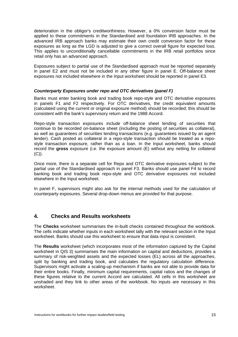deterioration in the obligor's creditworthiness. However, a 0% conversion factor must be applied to these commitments in the Standardised and foundation IRB approaches. In the advanced IRB approach banks may estimate their own credit conversion factor for these exposures as long as the LGD is adjusted to give a correct overall figure for expected loss. This applies to unconditionally cancellable commitments in the IRB retail portfolios since retail only has an advanced approach.

Exposures subject to partial use of the Standardised approach must be reported separately in panel E2 and must not be included in any other figure in panel E. Off-balance sheet exposures not included elsewhere in the Input worksheet should be reported in panel E3.

### *Counterparty Exposures under repo and OTC derivatives (panel F)*

Banks must enter banking book and trading book repo-style and OTC derivative exposures in panels F1 and F2 respectively. For OTC derivatives, the credit equivalent amounts (calculated using the current or original exposure method) should be recorded; this should be consistent with the bank's supervisory return and the 1988 Accord.

Repo-style transaction exposures include off-balance sheet lending of securities that continue to be recorded on-balance sheet (including the posting of securities as collateral), as well as guarantees of securities lending transactions (e.g. guarantees issued by an agent lender). Cash posted as collateral in a repo-style transaction should be treated as a repostyle transaction exposure, rather than as a loan. In the Input worksheet, banks should record the **gross** exposure (i.e. the exposure amount (E) without any netting for collateral (C)).

Once more, there is a separate cell for Repo and OTC derivative exposures subject to the partial use of the Standardised approach in panel F3. Banks should use panel F4 to record banking book and trading book repo-style and OTC derivative exposures not included elsewhere in the Input worksheet.

In panel F, supervisors might also ask for the internal methods used for the calculation of counterparty exposures. Several drop-down menus are provided for that purpose.

### **4. Checks and Results worksheets**

The **Checks** worksheet summarises the in-built checks contained throughout the workbook. The cells indicate whether inputs in each worksheet tally with the relevant section in the Input worksheet. Banks should use this worksheet to ensure that data input is consistent.

The **Results** worksheet (which incorporates most of the information captured by the Capital worksheet in QIS 3) summarises the main information on capital and deductions, provides a summary of risk-weighted assets and the expected losses (EL) across all the approaches, split by banking and trading book, and calculates the regulatory calculation difference. Supervisors might activate a scaling-up mechanism if banks are not able to provide data for their entire books. Finally, minimum capital requirements, capital ratios and the changes of these figures relative to the current Accord are calculated. All cells in this worksheet are unshaded and they link to other areas of the workbook. No inputs are necessary in this worksheet.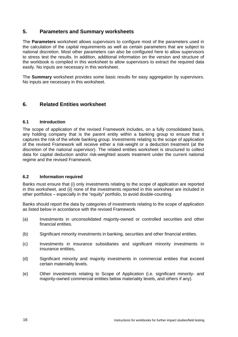### **5. Parameters and Summary worksheets**

The **Parameters** worksheet allows supervisors to configure most of the parameters used in the calculation of the capital requirements as well as certain parameters that are subject to national discretion. Most other parameters can also be configured here to allow supervisors to stress test the results. In addition, additional information on the version and structure of the workbook is compiled in this worksheet to allow supervisors to extract the required data easily. No inputs are necessary in this worksheet.

The **Summary** worksheet provides some basic results for easy aggregation by supervisors. No inputs are necessary in this worksheet.

### **6. Related Entities worksheet**

### **6.1 Introduction**

The scope of application of the revised Framework includes, on a fully consolidated basis, any holding company that is the parent entity within a banking group to ensure that it captures the risk of the whole banking group. Investments relating to the scope of application of the revised Framework will receive either a risk-weight or a deduction treatment (at the discretion of the national supervisor). The related entities worksheet is structured to collect data for capital deduction and/or risk-weighted assets treatment under the current national regime and the revised Framework.

### **6.2 Information required**

Banks must ensure that (i) only investments relating to the scope of application are reported in this worksheet, and (ii) none of the investments reported in this worksheet are included in other portfolios – especially in the "equity" portfolio, to avoid double-counting.

Banks should report the data by categories of investments relating to the scope of application as listed below in accordance with the revised Framework.

- (a) Investments in unconsolidated majority-owned or controlled securities and other financial entities.
- (b) Significant minority investments in banking, securities and other financial entities.
- (c) Investments in insurance subsidiaries and significant minority investments in insurance entities,
- (d) Significant minority and majority investments in commercial entities that exceed certain materiality levels.
- (e) Other investments relating to Scope of Application (i.e. significant minority- and majority-owned commercial entities below materiality levels, and others if any).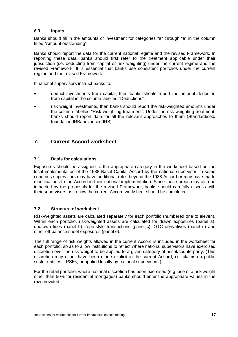### **6.3 Inputs**

Banks should fill in the amounts of investment for categories "a" through "e" in the column titled "Amount outstanding".

Banks should report the data for the current national regime and the revised Framework. In reporting these data, banks should first refer to the treatment applicable under their jurisdiction (i.e. deducting from capital or risk weighting) under the current regime and the revised Framework. It is essential that banks use consistent portfolios under the current regime and the revised Framework.

If national supervisors instruct banks to:

- deduct investments from capital, then banks should report the amount deducted from capital in the column labelled "Deductions";
- risk weight investments, then banks should report the risk-weighted amounts under the column labelled "Risk weighting treatment". Under the risk weighting treatment, banks should report data for all the relevant approaches to them (Standardised/ foundation IRB/ advanced IRB).

### **7. Current Accord worksheet**

### **7.1 Basis for calculations**

Exposures should be assigned to the appropriate category in the worksheet based on the local implementation of the 1988 Basel Capital Accord by the national supervisor. In some countries supervisors may have additional rules beyond the 1988 Accord or may have made modifications to the Accord in their national implementation. Since these areas may also be impacted by the proposals for the revised Framework, banks should carefully discuss with their supervisors as to how the current Accord worksheet should be completed.

### **7.2 Structure of worksheet**

Risk-weighted assets are calculated separately for each portfolio (numbered one to eleven). Within each portfolio, risk-weighted assets are calculated for drawn exposures (panel a), undrawn lines (panel b), repo-style transactions (panel c), OTC derivatives (panel d) and other off-balance sheet exposures (panel e).

The full range of risk weights allowed in the current Accord is included in the worksheet for each portfolio, so as to allow institutions to reflect where national supervisors have exercised discretion over the risk weight to be applied to a given category of asset/counterparty. (This discretion may either have been made explicit in the current Accord, i.e. claims on public sector entities – PSEs, or applied locally by national supervisors.)

For the retail portfolio, where national discretion has been exercised (e.g. use of a risk weight other than 50% for residential mortgages) banks should enter the appropriate values in the row provided.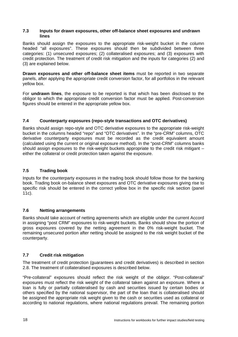#### **7.3 Inputs for drawn exposures, other off-balance sheet exposures and undrawn lines**

Banks should assign the exposures to the appropriate risk-weight bucket in the column headed "all exposures". These exposures should then be subdivided between three categories: (1) unsecured exposures; (2) collateralised exposures; and (3) exposures with credit protection. The treatment of credit risk mitigation and the inputs for categories (2) and (3) are explained below.

**Drawn exposures and other off-balance sheet items** must be reported in two separate panels, after applying the appropriate credit conversion factor, for all portfolios in the relevant yellow box.

For **undrawn lines**, the exposure to be reported is that which has been disclosed to the obligor to which the appropriate credit conversion factor must be applied. Post-conversion figures should be entered in the appropriate yellow box.

### **7.4 Counterparty exposures (repo-style transactions and OTC derivatives)**

Banks should assign repo-style and OTC derivative exposures to the appropriate risk-weight bucket in the columns headed "repo" and "OTC derivatives". In the "pre-CRM" columns, OTC derivative counterparty exposures must be recorded as the credit equivalent amount (calculated using the current or original exposure method). In the "post-CRM" columns banks should assign exposures to the risk-weight buckets appropriate to the credit risk mitigant – either the collateral or credit protection taken against the exposure.

### **7.5 Trading book**

Inputs for the counterparty exposures in the trading book should follow those for the banking book. Trading book on-balance sheet exposures and OTC derivative exposures giving rise to specific risk should be entered in the correct yellow box in the specific risk section (panel 11c).

### **7.6 Netting arrangements**

Banks should take account of netting agreements which are eligible under the current Accord in assigning "post CRM" exposures to risk-weight buckets. Banks should show the portion of gross exposures covered by the netting agreement in the 0% risk-weight bucket. The remaining unsecured portion after netting should be assigned to the risk weight bucket of the counterparty.

### **7.7 Credit risk mitigation**

The treatment of credit protection (guarantees and credit derivatives) is described in section 2.8. The treatment of collateralised exposures is described below.

"Pre-collateral" exposures should reflect the risk weight of the obligor. "Post-collateral" exposures must reflect the risk weight of the collateral taken against an exposure. Where a loan is fully or partially collateralised by cash and securities issued by certain bodies or others specified by the national supervisor, the part of the loan that is collateralised should be assigned the appropriate risk weight given to the cash or securities used as collateral or according to national regulations, where national regulations prevail. The remaining portion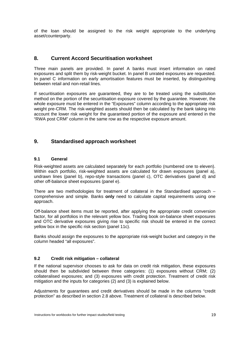of the loan should be assigned to the risk weight appropriate to the underlying asset/counterparty.

### **8. Current Accord Securitisation worksheet**

Three main panels are provided. In panel A banks must insert information on rated exposures and split them by risk-weight bucket. In panel B unrated exposures are requested. In panel C information on early amortisation features must be inserted, by distinguishing between retail and non-retail lines.

If securitisation exposures are guaranteed, they are to be treated using the substitution method on the portion of the securitisation exposure covered by the guarantee. However, the whole exposure must be entered in the "Exposures" column according to the appropriate risk weight pre-CRM. The risk-weighted assets should then be calculated by the bank taking into account the lower risk weight for the guaranteed portion of the exposure and entered in the "RWA post CRM" column in the same row as the respective exposure amount.

### **9. Standardised approach worksheet**

### **9.1 General**

Risk-weighted assets are calculated separately for each portfolio (numbered one to eleven). Within each portfolio, risk-weighted assets are calculated for drawn exposures (panel a), undrawn lines (panel b), repo-style transactions (panel c), OTC derivatives (panel d) and other off-balance sheet exposures (panel e).

There are two methodologies for treatment of collateral in the Standardised approach – comprehensive and simple. Banks **only** need to calculate capital requirements using one approach.

Off-balance sheet items must be reported, after applying the appropriate credit conversion factor, for all portfolios in the relevant yellow box. Trading book on-balance sheet exposures and OTC derivative exposures giving rise to specific risk should be entered in the correct yellow box in the specific risk section (panel 11c).

Banks should assign the exposures to the appropriate risk-weight bucket and category in the column headed "all exposures".

### **9.2 Credit risk mitigation – collateral**

If the national supervisor chooses to ask for data on credit risk mitigation, these exposures should then be subdivided between three categories: (1) exposures without CRM; (2) collateralised exposures; and (3) exposures with credit protection. Treatment of credit risk mitigation and the inputs for categories (2) and (3) is explained below.

Adjustments for guarantees and credit derivatives should be made in the columns "credit protection" as described in section 2.8 above. Treatment of collateral is described below.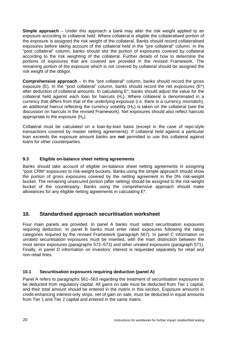**Simple approach** – Under this approach a bank may alter the risk weight applied to an exposure according to collateral held. Where collateral is eligible the collateralised portion of the exposure is assigned the risk weight of the collateral. Banks should record collateralised exposures before taking account of the collateral held in the "pre collateral" column. In the "post collateral" column, banks should slot the portion of exposures covered by collateral according to the risk weighting of the collateral. Further details of how to determine the portions of exposures that are covered are provided in the revised Framework. The remaining portion of the exposure which is not covered by collateral should be assigned the risk weight of the obligor.

**Comprehensive approach** – In the "pre collateral" column, banks should record the gross exposure (E). In the "post collateral" column, banks should record the net exposures  $(E^*)$ after deduction of collateral amounts. In calculating E\*, banks should adjust the value for the collateral held against each loan for haircuts  $(H<sub>c</sub>)$ . Where collateral is denominated in a currency that differs from that of the underlying exposure (i.e. there is a currency mismatch), an additional haircut reflecting the currency volatility  $(H<sub>K</sub>)$  is taken on the collateral (see the discussion on haircuts in the revised Framework). Net exposures should also reflect haircuts appropriate to the exposure  $(H<sub>e</sub>)$ .

Collateral must be calculated on a loan-by-loan basis (except in the case of repo-style transactions covered by master netting agreements). If collateral held against a particular loan exceeds the exposure amount banks are **not** permitted to use this collateral against loans for other counterparties.

### **9.3 Eligible on-balance sheet netting agreements**

Banks should take account of eligible on-balance sheet netting agreements in assigning "post CRM" exposures to risk-weight buckets. Banks using the simple approach should show the portion of gross exposures covered by the netting agreement in the 0% risk-weight bucket. The remaining unsecured portion (after netting) should be assigned to the risk-weight bucket of the counterparty. Banks using the comprehensive approach should make allowances for any eligible netting agreements in calculating E\*.

### **10. Standardised approach securitisation worksheet**

Four main panels are provided. In panel A banks must select securitisation exposures requiring deduction. In panel B banks must enter rated exposures following the rating categories required by the revised Framework (paragraph 567). In panel C information on unrated securitisation exposures must be inserted, with the main distinction between the most senior exposures (paragraphs 572–573) and other unrated exposures (paragraph 571). Finally, in panel D information on investors' interest is requested separately for retail and non-retail lines.

### **10.1 Securitisation exposures requiring deduction (panel A)**

Panel A refers to paragraphs 561–563 regarding the treatment of securitisation exposures to be deducted from regulatory capital. All gains on sale must be deducted from Tier 1 capital, and their total amount should be entered in the matrix in this section. Exposure amounts in credit-enhancing interest-only strips, net of gain on sale, must be deducted in equal amounts from Tier 1 and Tier 2 capital and entered in the same matrix.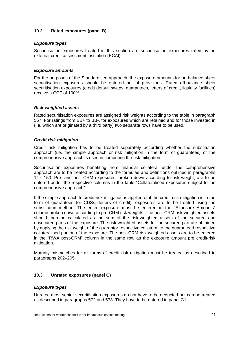### **10.2 Rated exposures (panel B)**

### *Exposure types*

Securitisation exposures treated in this section are securitisation exposures rated by an external credit assessment institution (ECAI).

#### *Exposure amounts*

For the purposes of the Standardised approach, the exposure amounts for on-balance sheet securitisation exposures should be entered net of provisions. Rated off-balance sheet securitisation exposures (credit default swaps, guarantees, letters of credit, liquidity facilities) receive a CCF of 100%.

#### *Risk-weighted assets*

Rated securitisation exposures are assigned risk weights according to the table in paragraph 567. For ratings from BB+ to BB-, for exposures which are retained and for those invested in (i.e. which are originated by a third party) two separate rows have to be used.

### *Credit risk mitigation*

Credit risk mitigation has to be treated separately according whether the substitution approach (i.e. the simple approach or risk mitigation in the form of guarantees) or the comprehensive approach is used in computing the risk mitigation.

Securitisation exposures benefiting from financial collateral under the comprehensive approach are to be treated according to the formulae and definitions outlined in paragraphs 147–150. Pre- and post-CRM exposures, broken down according to risk weight, are to be entered under the respective columns in the table "Collateralised exposures subject to the comprehensive approach".

If the simple approach to credit risk mitigation is applied or if the credit risk mitigation is in the form of guarantees (or CDSs, letters of credit), exposures are to be treated using the substitution method. The entire exposure must be entered in the "Exposure Amounts" column broken down according to pre-CRM risk weights. The post-CRM risk-weighted assets should then be calculated as the sum of the risk-weighted assets of the secured and unsecured parts of the exposure. The risk-weighted assets for the secured part are obtained by applying the risk weight of the guarantor respective collateral to the guaranteed respective collateralised portion of the exposure. The post-CRM risk-weighted assets are to be entered in the "RWA post-CRM" column in the same row as the exposure amount pre credit-risk mitigation.

Maturity mismatches for all forms of credit risk mitigation must be treated as described in paragraphs 202–205.

### **10.3 Unrated exposures (panel C)**

### *Exposure types*

Unrated most senior securitisation exposures do not have to be deducted but can be treated as described in paragraphs 572 and 573. They have to be entered in panel C1.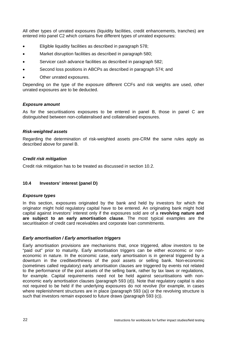All other types of unrated exposures (liquidity facilities, credit enhancements, tranches) are entered into panel C2 which contains five different types of unrated exposures:

- Eligible liquidity facilities as described in paragraph 578;
- Market disruption facilities as described in paragraph 580;
- Servicer cash advance facilities as described in paragraph 582;
- Second loss positions in ABCPs as described in paragraph 574; and
- Other unrated exposures.

Depending on the type of the exposure different CCFs and risk weights are used, other unrated exposures are to be deducted.

### *Exposure amount*

As for the securitisations exposures to be entered in panel B, those in panel C are distinguished between non-collateralised and collateralised exposures.

### *Risk-weighted assets*

Regarding the determination of risk-weighted assets pre-CRM the same rules apply as described above for panel B.

### *Credit risk mitigation*

Credit risk mitigation has to be treated as discussed in section 10.2.

### **10.4 Investors' interest (panel D)**

#### *Exposure types*

In this section, exposures originated by the bank and held by investors for which the originator might hold regulatory capital have to be entered. An originating bank might hold capital against investors' interest only if the exposures sold are of a **revolving nature and are subject to an early amortisation clause**. The most typical examples are the securitisation of credit card receivables and corporate loan commitments.

### *Early amortisation / Early amortisation triggers*

Early amortisation provisions are mechanisms that, once triggered, allow investors to be "paid out" prior to maturity. Early amortisation triggers can be either economic or noneconomic in nature. In the economic case, early amortisation is in general triggered by a downturn in the creditworthiness of the pool assets or selling bank. Non-economic (sometimes called regulatory) early amortisation clauses are triggered by events not related to the performance of the pool assets of the selling bank, rather by tax laws or regulations, for example. Capital requirements need not be held against securitisations with noneconomic early amortisation clauses (paragraph 593 (d)). Note that regulatory capital is also not required to be held if the underlying exposures do not revolve (for example, in cases where replenishment structures are in place (paragraph 593 (a)) or the revolving structure is such that investors remain exposed to future draws (paragraph 593 (c)).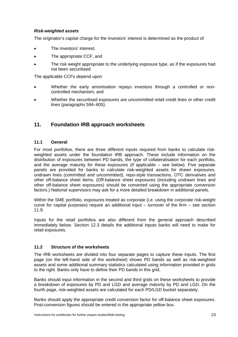### *Risk-weighted assets*

The originator's capital charge for the investors' interest is determined as the product of

- The investors' interest:
- The appropriate CCF; and
- The risk weight appropriate to the underlying exposure type, as if the exposures had not been securitised.

The applicable CCFs depend upon

- Whether the early amortisation repays investors through a controlled or noncontrolled mechanism; and
- Whether the securitised exposures are uncommitted retail credit lines or other credit lines (paragraphs 594–605).

### **11. Foundation IRB approach worksheets**

### **11.1 General**

For most portfolios, there are three different inputs required from banks to calculate riskweighted assets under the foundation IRB approach. These include information on the distribution of exposures between PD bands, the type of collateralisation for each portfolio, and the average maturity for these exposures (if applicable – see below). Five separate panels are provided for banks to calculate risk-weighted assets for drawn exposures, undrawn lines (committed and uncommitted), repo-style transactions, OTC derivatives and other off-balance sheet items. (Off-balance sheet exposures (including undrawn lines and other off-balance sheet exposures) should be converted using the appropriate conversion factors.) National supervisors may ask for a more detailed breakdown in additional panels.

Within the SME portfolio, exposures treated as corporate (i.e. using the corporate risk-weight curve for capital purposes) require an additional input – turnover of the firm – see section 11.9.

Inputs for the retail portfolios are also different from the general approach described immediately below. Section 12.3 details the additional inputs banks will need to make for retail exposures.

### **11.2 Structure of the worksheets**

The IRB worksheets are divided into four separate pages to capture these inputs. The first page (on the left-hand side of the worksheet) shows PD bands as well as risk-weighted assets and some additional summary statistics calculated using information provided in grids to the right. Banks only have to define their PD bands in this grid.

Banks should input information in the second and third grids on these worksheets to provide a breakdown of exposures by PD and LGD and average maturity by PD and LGD. On the fourth page, risk-weighted assets are calculated for each PD/LGD bucket separately.

Banks should apply the appropriate credit conversion factor for off-balance sheet exposures. Post-conversion figures should be entered in the appropriate yellow box.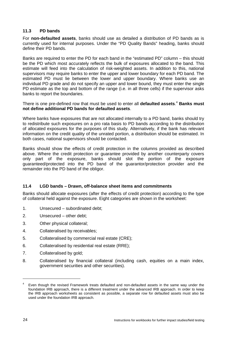### **11.3 PD bands**

For **non-defaulted assets**, banks should use as detailed a distribution of PD bands as is currently used for internal purposes. Under the "PD Quality Bands" heading, banks should define their PD bands.

Banks are required to enter the PD for each band in the "estimated PD" column – this should be the PD which most accurately reflects the bulk of exposures allocated to the band. This estimate will feed into the calculation of risk-weighted assets. In addition to this, national supervisors may require banks to enter the upper and lower boundary for each PD band. The estimated PD must lie between the lower and upper boundary. Where banks use an individual PD grade and do not specify an upper and lower bound, they must enter the single PD estimate as the top and bottom of the range (i.e. in all three cells) if the supervisor asks banks to report the boundaries.

There is one pre-defined row that must be used to enter all **defaulted assets**. <sup>4</sup> **Banks must not define additional PD bands for defaulted assets**.

Where banks have exposures that are not allocated internally to a PD band, banks should try to redistribute such exposures on a pro rata basis to PD bands according to the distribution of allocated exposures for the purposes of this study. Alternatively, if the bank has relevant information on the credit quality of the unrated portion, a distribution should be estimated. In both cases, national supervisors should be contacted.

Banks should show the effects of credit protection in the columns provided as described above. Where the credit protection or guarantee provided by another counterparty covers only part of the exposure, banks should slot the portion of the exposure guaranteed/protected into the PD band of the guarantor/protection provider and the remainder into the PD band of the obligor.

### **11.4 LGD bands – Drawn, off-balance sheet items and commitments**

Banks should allocate exposures (after the effects of credit protection) according to the type of collateral held against the exposure. Eight categories are shown in the worksheet:

- 1. Unsecured subordinated debt;
- 2. Unsecured other debt;
- 3. Other physical collateral;
- 4. Collateralised by receivables;
- 5. Collateralised by commercial real estate (CRE);
- 6. Collateralised by residential real estate (RRE);
- 7. Collateralised by gold;
- 8. Collateralised by financial collateral (including cash, equities on a main index, government securities and other securities).

<sup>4</sup> Even though the revised Framework treats defaulted and non-defaulted assets in the same way under the foundation IRB approach, there is a different treatment under the advanced IRB approach. In order to keep the IRB approach worksheets as consistent as possible, a separate row for defaulted assets must also be used under the foundation IRB approach.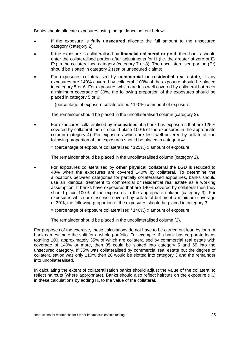Banks should allocate exposures using the guidance set out below:

- If the exposure is **fully unsecured** allocate the full amount to the unsecured category (category 2).
- If the exposure is collateralised by **financial collateral or gold**, then banks should enter the collateralised portion after adjustments for H (i.e. the greater of zero or E- $E^*$ ) in the collateralised category (category 7 or 8). The uncollateralised portion ( $E^*$ ) should be slotted in category 2 (senior unsecured claims).
- For exposures collateralised by **commercial or residential real estate**, if any exposures are 140% covered by collateral, 100% of the exposure should be placed in category 5 or 6. For exposures which are less well covered by collateral but meet a minimum coverage of 30%, the following proportion of the exposures should be placed in category 5 or 6:
	- $=$  (percentage of exposure collateralised / 140%) x amount of exposure

The remainder should be placed in the uncollateralised column (category 2).

• For exposures collateralised by **receivables**, if a bank has exposures that are 125% covered by collateral then it should place 100% of the exposures in the appropriate column (category 4). For exposures which are less well covered by collateral, the following proportion of the exposures should be placed in category 4:

 $=$  (percentage of exposure collateralised / 125%) x amount of exposure

The remainder should be placed in the uncollateralised column (category 2).

- For exposures collateralised by **other physical collateral** the LGD is reduced to 40% when the exposures are covered 140% by collateral. To determine the allocations between categories for partially collateralised exposures, banks should use an identical treatment to commercial or residential real estate as a working assumption. If banks have exposures that are 140% covered by collateral then they should place 100% of the exposures in the appropriate column (category 3). For exposures which are less well covered by collateral but meet a minimum coverage of 30%, the following proportion of the exposures should be placed in category 3:
	- $=$  (percentage of exposure collateralised / 140%) x amount of exposure

The remainder should be placed in the uncollateralised column (2).

For purposes of the exercise, these calculations do not have to be carried out loan by loan. A bank can estimate the split for a whole portfolio. For example, if a bank has corporate loans totalling 100, approximately 35% of which are collateralised by commercial real estate with coverage of 140% or more, then 35 could be slotted into category 5 and 65 into the unsecured category. If 35% was collateralised by commercial real estate but the degree of collateralisation was only 110% then 28 would be slotted into category 3 and the remainder into uncollateralised.

In calculating the extent of collateralisation banks should adjust the value of the collateral to reflect haircuts (where appropriate). Banks should also reflect haircuts on the exposure  $(H<sub>e</sub>)$ in these calculations by adding  $H<sub>e</sub>$  to the value of the collateral.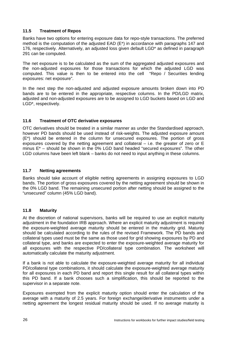### **11.5 Treatment of Repos**

Banks have two options for entering exposure data for repo-style transactions. The preferred method is the computation of the adjusted EAD (E\*) in accordance with paragraphs 147 and 176, respectively. Alternatively, an adjusted loss given default LGD\* as defined in paragraph 291 can be computed.

The net exposure is to be calculated as the sum of the aggregated adjusted exposures and the non-adjusted exposures for those transactions for which the adjusted LGD was computed. This value is then to be entered into the cell "Repo / Securities lending exposures: net exposure".

In the next step the non-adjusted and adjusted exposure amounts broken down into PD bands are to be entered in the appropriate, respective columns. In the PD/LGD matrix, adjusted and non-adjusted exposures are to be assigned to LGD buckets based on LGD and LGD\*, respectively.

### **11.6 Treatment of OTC derivative exposures**

OTC derivatives should be treated in a similar manner as under the Standardised approach, however PD bands should be used instead of risk-weights. The adjusted exposure amount (E\*) should be entered in the column for unsecured exposures. The portion of gross exposures covered by the netting agreement and collateral – i.e. the greater of zero or E minus E\* – should be shown in the 0% LGD band headed "secured exposures". The other LGD columns have been left blank – banks do not need to input anything in these columns.

### **11.7 Netting agreements**

Banks should take account of eligible netting agreements in assigning exposures to LGD bands. The portion of gross exposures covered by the netting agreement should be shown in the 0% LGD band. The remaining unsecured portion after netting should be assigned to the "unsecured" column (45% LGD band).

### **11.8 Maturity**

At the discretion of national supervisors, banks will be required to use an explicit maturity adjustment in the foundation IRB approach. Where an explicit maturity adjustment is required the exposure-weighted average maturity should be entered in the maturity grid. Maturity should be calculated according to the rules of the revised Framework. The PD bands and collateral types used must be the same as those used for grid showing exposures by PD and collateral type, and banks are expected to enter the exposure-weighted average maturity for all exposures with the respective PD/collateral type combination. The worksheet will automatically calculate the maturity adjustment.

If a bank is not able to calculate the exposure-weighted average maturity for all individual PD/collateral type combinations, it should calculate the exposure-weighted average maturity for all exposures in each PD band and report this single result for all collateral types within this PD band. If a bank chooses such a simplification, this should be reported to the supervisor in a separate note.

Exposures exempted from the explicit maturity option should enter the calculation of the average with a maturity of 2.5 years. For foreign exchange/derivative instruments under a netting agreement the longest residual maturity should be used. If no average maturity is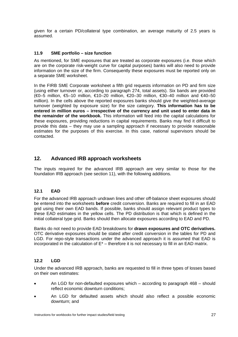given for a certain PD/collateral type combination, an average maturity of 2.5 years is assumed.

### **11.9 SME portfolio – size function**

As mentioned, for SME exposures that are treated as corporate exposures (i.e. those which are on the corporate risk-weight curve for capital purposes) banks will also need to provide information on the size of the firm. Consequently these exposures must be reported only on a separate SME worksheet.

In the FIRB SME Corporate worksheet a fifth grid requests information on PD and firm size (using either turnover or, according to paragraph 274, total assets). Six bands are provided (€0–5 million, €5–10 million, €10–20 million, €20–30 million, €30–40 million and €40–50 million). In the cells above the reported exposures banks should give the weighted-average turnover (weighted by exposure size) for the size category. **This information has to be entered in million euros – irrespective of the currency and unit used to enter data in the remainder of the workbook.** This information will feed into the capital calculations for these exposures, providing reductions in capital requirements. Banks may find it difficult to provide this data – they may use a sampling approach if necessary to provide reasonable estimates for the purposes of this exercise. In this case, national supervisors should be contacted.

### **12. Advanced IRB approach worksheets**

The inputs required for the advanced IRB approach are very similar to those for the foundation IRB approach (see section 11), with the following additions.

### **12.1 EAD**

For the advanced IRB approach undrawn lines and other off-balance sheet exposures should be entered into the worksheets **before** credit conversion. Banks are required to fill in an EAD grid using their own EAD bands. If possible, banks should assign relevant product types to these EAD estimates in the yellow cells. The PD distribution is that which is defined in the initial collateral type grid. Banks should then allocate exposures according to EAD and PD.

Banks do not need to provide EAD breakdowns for **drawn exposures and OTC derivatives.** OTC derivative exposures should be stated after credit conversion in the tables for PD and LGD. For repo-style transactions under the advanced approach it is assumed that EAD is incorporated in the calculation of  $E^*$  – therefore it is not necessary to fill in an EAD matrix.

### **12.2 LGD**

Under the advanced IRB approach, banks are requested to fill in three types of losses based on their own estimates:

- An LGD for non-defaulted exposures which according to paragraph 468 should reflect economic downturn conditions;
- An LGD for defaulted assets which should also reflect a possible economic downturn; and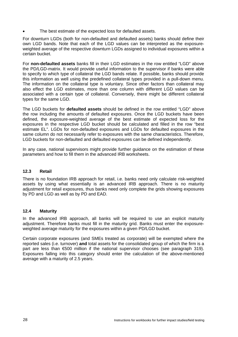The best estimate of the expected loss for defaulted assets.

For downturn LGDs (both for non-defaulted and defaulted assets) banks should define their own LGD bands. Note that each of the LGD values can be interpreted as the exposureweighted average of the respective downturn LGDs assigned to individual exposures within a certain bucket.

For **non-defaulted assets** banks fill in their LGD estimates in the row entitled "LGD" above the PD/LGD-matrix. It would provide useful information to the supervisor if banks were able to specify to which type of collateral the LGD bands relate. If possible, banks should provide this information as well using the predefined collateral types provided in a pull-down menu. The information on the collateral type is voluntary. Since other factors than collateral may also effect the LGD estimates, more than one column with different LGD values can be associated with a certain type of collateral. Conversely, there might be different collateral types for the same LGD.

The LGD buckets for **defaulted assets** should be defined in the row entitled "LGD" above the row including the amounts of defaulted exposures. Once the LGD buckets have been defined, the exposure-weighted average of the best estimate of expected loss for the exposures in the respective LGD bucket should be calculated and filled in the row "best estimate EL". LGDs for non-defaulted exposures and LGDs for defaulted exposures in the same column do not necessarily refer to exposures with the same characteristics. Therefore, LGD buckets for non-defaulted and defaulted exposures can be defined independently.

In any case, national supervisors might provide further guidance on the estimation of these parameters and how to fill them in the advanced IRB worksheets.

### **12.3 Retail**

There is no foundation IRB approach for retail, i.e. banks need only calculate risk-weighted assets by using what essentially is an advanced IRB approach. There is no maturity adjustment for retail exposures, thus banks need only complete the grids showing exposures by PD and LGD as well as by PD and EAD.

### **12.4 Maturity**

In the advanced IRB approach, all banks will be required to use an explicit maturity adjustment. Therefore banks must fill in the maturity grid. Banks must enter the exposureweighted average maturity for the exposures within a given PD/LGD bucket.

Certain corporate exposures (and SMEs treated as corporate) will be exempted where the reported sales (i.e. turnover) **and** total assets for the consolidated group of which the firm is a part are less than €500 million if the national supervisor chooses (see paragraph 319). Exposures falling into this category should enter the calculation of the above-mentioned average with a maturity of 2.5 years.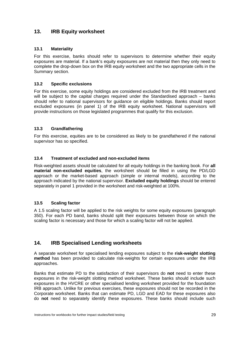### **13. IRB Equity worksheet**

### **13.1 Materiality**

For this exercise, banks should refer to supervisors to determine whether their equity exposures are material. If a bank's equity exposures are not material then they only need to complete the drop-down box on the IRB equity worksheet and the two appropriate cells in the Summary section.

### **13.2 Specific exclusions**

For this exercise, some equity holdings are considered excluded from the IRB treatment and will be subject to the capital charges required under the Standardised approach – banks should refer to national supervisors for guidance on eligible holdings. Banks should report excluded exposures (in panel 1) of the IRB equity worksheet. National supervisors will provide instructions on those legislated programmes that qualify for this exclusion.

### **13.3 Grandfathering**

For this exercise, equities are to be considered as likely to be grandfathered if the national supervisor has so specified.

### **13.4 Treatment of excluded and non-excluded items**

Risk-weighted assets should be calculated for all equity holdings in the banking book. For **all material non-excluded equities**, the worksheet should be filled in using the PD/LGD approach or the market-based approach (simple or internal models), according to the approach indicated by the national supervisor. **Excluded equity holdings** should be entered separately in panel 1 provided in the worksheet and risk-weighted at 100%.

### **13.5 Scaling factor**

A 1.5 scaling factor will be applied to the risk weights for some equity exposures (paragraph 350). For each PD band, banks should split their exposures between those on which the scaling factor is necessary and those for which a scaling factor will not be applied.

### **14. IRB Specialised Lending worksheets**

A separate worksheet for specialised lending exposures subject to the **risk-weight slotting method** has been provided to calculate risk-weights for certain exposures under the IRB approaches.

Banks that estimate PD to the satisfaction of their supervisors do **not** need to enter these exposures in the risk-weight slotting method worksheet. These banks should include such exposures in the HVCRE or other specialised lending worksheet provided for the foundation IRB approach. Unlike for previous exercises, these exposures should not be recorded in the Corporate worksheet. Banks that can estimate PD, LGD and EAD for these exposures also do **not** need to separately identify these exposures. These banks should include such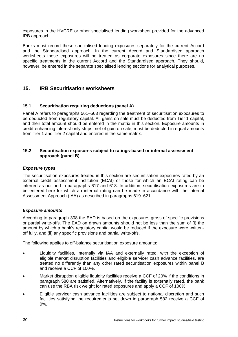exposures in the HVCRE or other specialised lending worksheet provided for the advanced IRB approach.

Banks must record these specialised lending exposures separately for the current Accord and the Standardised approach. In the current Accord and Standardised approach worksheets these exposures will be treated as corporate exposures since there are no specific treatments in the current Accord and the Standardised approach. They should, however, be entered in the separate specialised lending sections for analytical purposes.

### **15. IRB Securitisation worksheets**

### **15.1 Securitisation requiring deductions (panel A)**

Panel A refers to paragraphs 561–563 regarding the treatment of securitisation exposures to be deducted from regulatory capital. All gains on sale must be deducted from Tier 1 capital, and their total amount should be entered in the matrix in this section. Exposure amounts in credit-enhancing interest-only strips, net of gain on sale, must be deducted in equal amounts from Tier 1 and Tier 2 capital and entered in the same matrix.

#### **15.2 Securitisation exposures subject to ratings-based or internal assessment approach (panel B)**

### *Exposure types*

The securitisation exposures treated in this section are securitisation exposures rated by an external credit assessment institution (ECAI) or those for which an ECAI rating can be inferred as outlined in paragraphs 617 and 618. In addition, securitisation exposures are to be entered here for which an internal rating can be made in accordance with the Internal Assessment Approach (IAA) as described in paragraphs 619–621.

### *Exposure amounts*

According to paragraph 308 the EAD is based on the exposures gross of specific provisions or partial write-offs. The EAD on drawn amounts should not be less than the sum of (i) the amount by which a bank's regulatory capital would be reduced if the exposure were writtenoff fully, and (ii) any specific provisions and partial write-offs.

The following applies to off-balance securitisation exposure amounts:

- Liquidity facilities, internally via IAA and externally rated, with the exception of eligible market disruption facilities and eligible servicer cash advance facilities, are treated no differently than any other rated securitisation exposures within panel B and receive a CCF of 100%.
- Market disruption eligible liquidity facilities receive a CCF of 20% if the conditions in paragraph 580 are satisfied. Alternatively, if the facility is externally rated, the bank can use the RBA risk weight for rated exposures and apply a CCF of 100%.
- Eligible servicer cash advance facilities are subject to national discretion and such facilities satisfying the requirements set down in paragraph 582 receive a CCF of 0%.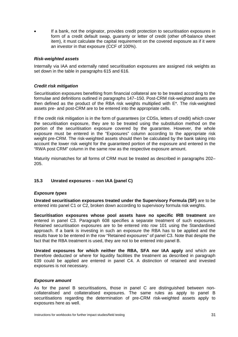• If a bank, not the originator, provides credit protection to securitisation exposures in form of a credit default swap, guaranty or letter of credit (other off-balance sheet item), it must calculate the capital requirement on the covered exposure as if it were an investor in that exposure (CCF of 100%).

#### *Risk-weighted assets*

Internally via IAA and externally rated securitisation exposures are assigned risk weights as set down in the table in paragraphs 615 and 616.

#### *Credit risk mitigation*

Securitisation exposures benefiting from financial collateral are to be treated according to the formulae and definitions outlined in paragraphs 147–150. Post-CRM risk-weighted assets are then defined as the product of the RBA risk weights multiplied with E\*. The risk-weighted assets pre- and post-CRM are to be entered into the appropriate cells.

If the credit risk mitigation is in the form of guarantees (or CDSs, letters of credit) which cover the securitisation exposure, they are to be treated using the substitution method on the portion of the securitisation exposure covered by the guarantee. However, the whole exposure must be entered in the "Exposures" column according to the appropriate risk weight pre-CRM. The risk-weighted assets should then be calculated by the bank taking into account the lower risk weight for the guaranteed portion of the exposure and entered in the "RWA post CRM" column in the same row as the respective exposure amount.

Maturity mismatches for all forms of CRM must be treated as described in paragraphs 202– 205.

### **15.3 Unrated exposures – non IAA (panel C)**

#### *Exposure types*

**Unrated securitisation exposures treated under the Supervisory Formula (SF)** are to be entered into panel C1 or C2, broken down according to supervisory formula risk weights.

**Securitisation exposures whose pool assets have no specific IRB treatment** are entered in panel C3. Paragraph 608 specifies a separate treatment of such exposures. Retained securitisation exposures are to be entered into row 101 using the Standardised approach. If a bank is investing in such an exposure the RBA has to be applied and the results have to be entered in the row "Retained exposures" of panel C3. Note that despite the fact that the RBA treatment is used, they are not to be entered into panel B.

**Unrated exposures for which neither the RBA, SFA nor IAA apply** and which are therefore deducted or where for liquidity facilities the treatment as described in paragraph 639 could be applied are entered in panel C4. A distinction of retained and invested exposures is not necessary.

#### *Exposure amount*

As for the panel B securitisations, those in panel C are distinguished between noncollateralised and collateralised exposures. The same rules as apply to panel B securitisations regarding the determination of pre-CRM risk-weighted assets apply to exposures here as well.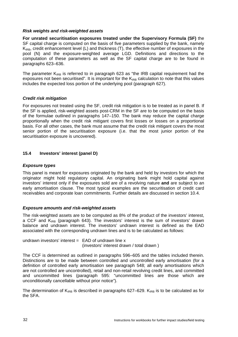#### *Risk weights and risk-weighted assets*

**For unrated securitisation exposures treated under the Supervisory Formula (SF)** the SF capital charge is computed on the basis of five parameters supplied by the bank, namely  $K_{IRB}$ , credit enhancement level (L) and thickness (T), the effective number of exposures in the pool (N) and the exposure-weighted average LGD. Definitions and directions to the computation of these parameters as well as the SF capital charge are to be found in paragraphs 623–636.

The parameter  $K_{IRB}$  is referred to in paragraph 623 as "the IRB capital requirement had the exposures not been securitised". It is important for the  $K_{IRB}$  calculation to note that this values includes the expected loss portion of the underlying pool (paragraph 627).

### *Credit risk mitigation*

For exposures not treated using the SF, credit risk mitigation is to be treated as in panel B. If the SF is applied, risk-weighted assets post-CRM in the SF are to be computed on the basis of the formulae outlined in paragraphs 147–150. The bank may reduce the capital charge proportionally when the credit risk mitigant covers first losses or losses on a proportional basis. For all other cases, the bank must assume that the credit risk mitigant covers the most senior portion of the securitisation exposure (i.e. that the most junior portion of the securitisation exposure is uncovered).

### **15.4 Investors' interest (panel D)**

### *Exposure types*

This panel is meant for exposures originated by the bank and held by investors for which the originator might hold regulatory capital. An originating bank might hold capital against investors' interest only if the exposures sold are of a revolving nature **and** are subject to an early amortisation clause. The most typical examples are the securitisation of credit card receivables and corporate loan commitments. Further details are discussed in section 10.4.

### *Exposure amounts and risk-weighted assets*

The risk-weighted assets are to be computed as 8% of the product of the investors' interest, a CCF and  $K_{IRB}$  (paragraph 643). The investors' interest is the sum of investors' drawn balance and undrawn interest. The investors' undrawn interest is defined as the EAD associated with the corresponding undrawn lines and is to be calculated as follows:

undrawn investors' interest  $=$  EAD of undrawn line x (investors' interest drawn / total drawn )

The CCF is determined as outlined in paragraphs 596–605 and the tables included therein. Distinctions are to be made between controlled and uncontrolled early amortisation (for a definition of controlled early amortisation see paragraph 548; all early amortisations which are not controlled are uncontrolled), retail and non-retail revolving credit lines, and committed and uncommitted lines (paragraph 595: "uncommitted lines are those which are unconditionally cancellable without prior notice").

The determination of  $K_{IRB}$  is described in paragraphs 627–629.  $K_{IRB}$  is to be calculated as for the SFA.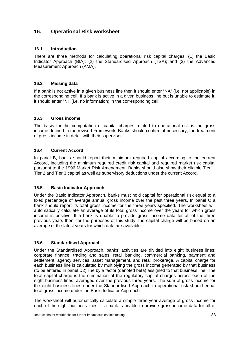### **16. Operational Risk worksheet**

### **16.1 Introduction**

There are three methods for calculating operational risk capital charges: (1) the Basic Indicator Approach (BIA); (2) the Standardised Approach (TSA); and (3) the Advanced Measurement Approach (AMA).

### **16.2 Missing data**

If a bank is not active in a given business line then it should enter "NA" (i.e. not applicable) in the corresponding cell. If a bank is active in a given business line but is unable to estimate it, it should enter "NI" (i.e. no information) in the corresponding cell.

### **16.3 Gross income**

The basis for the computation of capital charges related to operational risk is the gross income defined in the revised Framework. Banks should confirm, if necessary, the treatment of gross income in detail with their supervisor.

### **16.4 Current Accord**

In panel B, banks should report their minimum required capital according to the current Accord, including the minimum required credit risk capital and required market risk capital pursuant to the 1996 Market Risk Amendment. Banks should also show their eligible Tier 1, Tier 2 and Tier 3 capital as well as supervisory deductions under the current Accord.

### **16.5 Basic Indicator Approach**

Under the Basic Indicator Approach, banks must hold capital for operational risk equal to a fixed percentage of average annual gross income over the past three years. In panel C a bank should report its total gross income for the three years specified. The worksheet will automatically calculate an average of its total gross income over the years for which gross income is positive. If a bank is unable to provide gross income data for all of the three previous years then, for the purposes of this study, the capital charge will be based on an average of the latest years for which data are available.

### **16.6 Standardised Approach**

Under the Standardised Approach, banks' activities are divided into eight business lines: corporate finance, trading and sales, retail banking, commercial banking, payment and settlement, agency services, asset management, and retail brokerage. A capital charge for each business line is calculated by multiplying the gross income generated by that business (to be entered in panel D2) line by a factor (denoted beta) assigned to that business line. The total capital charge is the summation of the regulatory capital charges across each of the eight business lines, averaged over the previous three years. The sum of gross income for the eight business lines under the Standardised Approach to operational risk should equal total gross income under the Basic Indicator Approach.

The worksheet will automatically calculate a simple three-year average of gross income for each of the eight business lines. If a bank is unable to provide gross income data for all of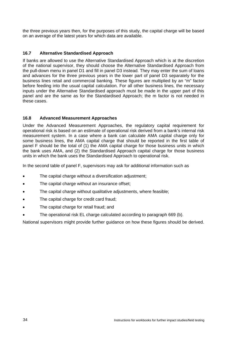the three previous years then, for the purposes of this study, the capital charge will be based on an average of the latest years for which data are available.

### **16.7 Alternative Standardised Approach**

If banks are allowed to use the Alternative Standardised Approach which is at the discretion of the national supervisor, they should choose the Alternative Standardised Approach from the pull-down menu in panel D1 and fill in panel D3 instead. They may enter the sum of loans and advances for the three previous years in the lower part of panel D3 separately for the business lines retail and commercial banking. These figures are multiplied by an "m" factor before feeding into the usual capital calculation. For all other business lines, the necessary inputs under the Alternative Standardised approach must be made in the upper part of this panel and are the same as for the Standardised Approach; the m factor is not needed in these cases.

### **16.8 Advanced Measurement Approaches**

Under the Advanced Measurement Approaches, the regulatory capital requirement for operational risk is based on an estimate of operational risk derived from a bank's internal risk measurement system. In a case where a bank can calculate AMA capital charge only for some business lines, the AMA capital charge that should be reported in the first table of panel F should be the total of (1) the AMA capital charge for those business units in which the bank uses AMA, and (2) the Standardised Approach capital charge for those business units in which the bank uses the Standardised Approach to operational risk.

In the second table of panel F, supervisors may ask for additional information such as

- The capital charge without a diversification adjustment;
- The capital charge without an insurance offset;
- The capital charge without qualitative adjustments, where feasible;
- The capital charge for credit card fraud;
- The capital charge for retail fraud; and
- The operational risk EL charge calculated according to paragraph 669 (b).

National supervisors might provide further guidance on how these figures should be derived.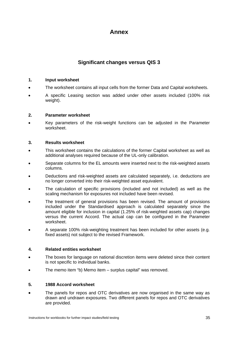# **Annex**

### **Significant changes versus QIS 3**

### **1. Input worksheet**

- The worksheet contains all input cells from the former Data and Capital worksheets.
- A specific Leasing section was added under other assets included (100% risk weight).

### **2. Parameter worksheet**

• Key parameters of the risk-weight functions can be adjusted in the Parameter worksheet.

### **3. Results worksheet**

- This worksheet contains the calculations of the former Capital worksheet as well as additional analyses required because of the UL-only calibration.
- Separate columns for the EL amounts were inserted next to the risk-weighted assets columns.
- Deductions and risk-weighted assets are calculated separately, i.e. deductions are no longer converted into their risk-weighted asset equivalent.
- The calculation of specific provisions (included and not included) as well as the scaling mechanism for exposures not included have been revised.
- The treatment of general provisions has been revised. The amount of provisions included under the Standardised approach is calculated separately since the amount eligible for inclusion in capital (1.25% of risk-weighted assets cap) changes versus the current Accord. The actual cap can be configured in the Parameter worksheet.
- A separate 100% risk-weighting treatment has been included for other assets (e.g. fixed assets) not subject to the revised Framework.

### **4. Related entities worksheet**

- The boxes for language on national discretion items were deleted since their content is not specific to individual banks.
- The memo item "b) Memo item surplus capital" was removed.

### **5. 1988 Accord worksheet**

• The panels for repos and OTC derivatives are now organised in the same way as drawn and undrawn exposures. Two different panels for repos and OTC derivatives are provided.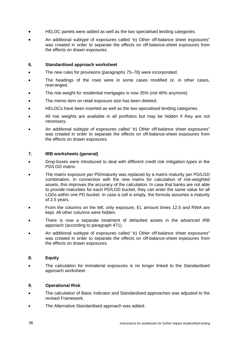- HELOC panels were added as well as the two specialised lending categories.
- An additional subtype of exposures called "e) Other off-balance sheet exposures" was created in order to separate the effects on off-balance-sheet exposures from the effects on drawn exposures.

### **6. Standardised approach worksheet**

- The new rules for provisions (paragraphs 75–78) were incorporated.
- The headings of the rows were in some cases modified or, in other cases, rearranged.
- The risk-weight for residential mortgages is now 35% (not 40% anymore).
- The memo item on retail exposure size has been deleted.
- HELOCs have been inserted as well as the two specialised lending categories.
- All risk weights are available in all portfolios but may be hidden if they are not necessary.
- An additional subtype of exposures called "e) Other off-balance sheet exposures" was created in order to separate the effects on off-balance-sheet exposures from the effects on drawn exposures.

### **7. IRB worksheets (general)**

- Drop-boxes were introduced to deal with different credit risk mitigation types in the PD/LGD matrix.
- The matrix exposure per PD/maturity was replaced by a matrix maturity per PD/LGD combination. In connection with the new matrix for calculation of risk-weighted assets, this improves the accuracy of the calculation. In case that banks are not able to provide maturities for each PD/LGD bucket, they can enter the same value for all LGDs within one PD bucket. In case a cell is empty, the formula assumes a maturity of 2.5 years.
- From the columns on the left, only exposure, EL amount times 12.5 and RWA are kept. All other columns were hidden.
- There is now a separate treatment of defaulted assets in the advanced IRB approach (according to paragraph 471).
- An additional subtype of exposures called "e) Other off-balance sheet exposures" was created in order to separate the effects on off-balance-sheet exposures from the effects on drawn exposures.

### **8. Equity**

• The calculation for immaterial exposures is no longer linked to the Standardised approach worksheet.

### **9. Operational Risk**

- The calculation of Basic Indicator and Standardised approaches was adjusted to the revised Framework.
- The Alternative Standardised approach was added.